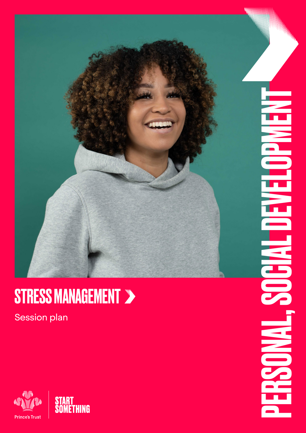

## STRESS MANAGEMENT >

Session plan

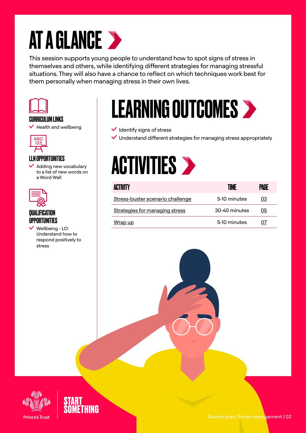## AT A GLANCE >

This session supports young people to understand how to spot signs of stress in themselves and others, while identifying different strategies for managing stressful situations. They will also have a chance to reflect on which techniques work best for them personally when managing stress in their own lives.



## CURRICULUM LINKS

 $\blacktriangleright$  Health and wellbeing



## LLN OPPORTUNITIES

 $\blacktriangleright$  Adding new vocabulary to a list of new words on a Word Wall



## QUALIFICATION OPPORTUNITIES

 Wellbeing - LO: Understand how to respond positively to stress

## LEARNING OUTCOMES

 $\checkmark$  Identify signs of stress

 $\vee$  Understand different strategies for managing stress appropriately

## **ACTIVITIES >**

| ACTIVITY                         | TIME          | PAGE |
|----------------------------------|---------------|------|
| Stress-buster scenario challenge | 5-10 minutes  | 03   |
| Strategies for managing stress   | 30-40 minutes | 05   |
| Wrap up                          | 5-10 minutes  | 07   |

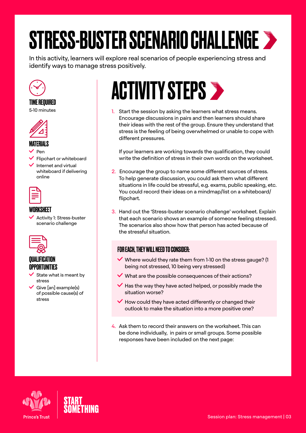# <span id="page-2-0"></span>STRESS-BUSTER SCENARIO CHALLENGE

In this activity, learners will explore real scenarios of people experiencing stress and identify ways to manage stress positively.



#### TIME REQUIRED

5-10 minutes



### MATERIALS

Pen

 $\blacktriangleright$  Flipchart or whiteboard

 $\blacktriangleright$  Internet and virtual whiteboard if delivering online



#### WORKSHEET

 $\checkmark$  Activity 1: Stress-buster scenario challenge



## QUALIFICATION **OPPORTUNITIES**

- $\checkmark$  State what is meant by stress
- $\checkmark$  Give [an] example(s) of possible cause(s) of stress

## **ACTIVITY STEPS >**

1. Start the session by asking the learners what stress means. Encourage discussions in pairs and then learners should share their ideas with the rest of the group. Ensure they understand that stress is the feeling of being overwhelmed or unable to cope with different pressures.

If your learners are working towards the qualification, they could write the definition of stress in their own words on the worksheet.

- 2. Encourage the group to name some different sources of stress. To help generate discussion, you could ask them what different situations in life could be stressful, e.g. exams, public speaking, etc. You could record their ideas on a mindmap/list on a whiteboard/ flipchart.
- 3. Hand out the 'Stress-buster scenario challenge' worksheet. Explain that each scenario shows an example of someone feeling stressed. The scenarios also show how that person has acted because of the stressful situation.

### FOR EACH, THEY WILL NEED TO CONSIDER:

- $\vee$  Where would they rate them from 1-10 on the stress gauge? (1) being not stressed, 10 being very stressed)
- $\blacktriangleright$  What are the possible consequences of their actions?
- $\blacktriangleright$  Has the way they have acted helped, or possibly made the situation worse?
- $\blacktriangleright$  How could they have acted differently or changed their outlook to make the situation into a more positive one?
- 4. Ask them to record their answers on the worksheet. This can be done individually, in pairs or small groups. Some possible responses have been included on the next page:



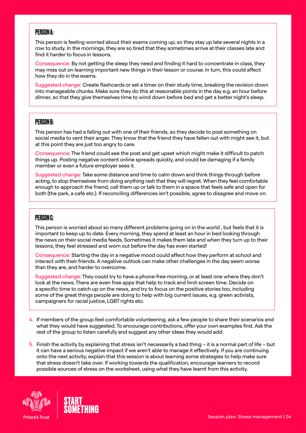#### PERSON A:

This person is feeling worried about their exams coming up, so they stay up late several nights in a row to study. In the mornings, they are so tired that they sometimes arrive at their classes late and find it harder to focus in lessons.

Consequence: By not getting the sleep they need and finding it hard to concentrate in class, they may miss out on learning important new things in their lesson or course. In turn, this could affect how they do in the exams.

Suggested change: Create flashcards or set a timer on their study time, breaking the revision down into manageable chunks. Make sure they do this at reasonable points in the day e.g. an hour before dinner, so that they give themselves time to wind down before bed and get a better night's sleep.

#### PERSON B:

This person has had a falling out with one of their friends, so they decide to post something on social media to vent their anger. They know that the friend they have fallen out with might see it, but at this point they are just too angry to care.

Consequence: The friend could see the post and get upset which might make it difficult to patch things up. Posting negative content online spreads quickly, and could be damaging if a family member or even a future employer sees it.

Suggested change: Take some distance and time to calm down and think things through before acting, to stop themselves from doing anything rash that they will regret. When they feel comfortable enough to approach the friend, call them up or talk to them in a space that feels safe and open for both (the park, a café etc.). If reconciling differences isn't possible, agree to disagree and move on.

#### PERSON C:

This person is worried about so many different problems going on in the world , but feels that it is important to keep up to date. Every morning, they spend at least an hour in bed looking through the news on their social media feeds. Sometimes it makes them late and when they turn up to their lessons, they feel stressed and worn out before the day has even started!

Consequence: Starting the day in a negative mood could affect how they perform at school and interact with their friends. A negative outlook can make other challenges in the day seem worse than they are, and harder to overcome.

Suggested change: They could try to have a phone-free morning, or at least one where they don't look at the news. There are even free apps that help to track and limit screen time. Decide on a specific time to catch up on the news, and try to focus on the positive stories too, including some of the great things people are doing to help with big current issues, e.g. green activists, campaigners for racial justice, LGBT rights etc.

- 4. If members of the group feel comfortable volunteering, ask a few people to share their scenarios and what they would have suggested. To encourage contributions, offer your own examples first. Ask the rest of the group to listen carefully and suggest any other ideas they would add.
- 5. Finish the activity by explaining that stress isn't necessarily a bad thing it is a normal part of life but it can have a serious negative impact if we aren't able to manage it effectively. If you are continuing onto the next activity, explain that this session is about learning some strategies to help make sure that stress doesn't take over. If working towards the qualification, encourage learners to record possible sources of stress on the worksheet, using what they have learnt from this activity.



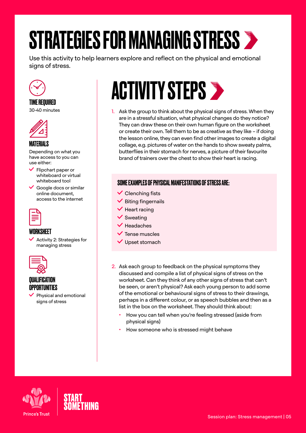## <span id="page-4-0"></span>STRATEGIES FOR MANAGING STRESS

Use this activity to help learners explore and reflect on the physical and emotional signs of stress.



## TIME REQUIRED

30-40 minutes



### MATERIALS

Depending on what you have access to you can use either:

- $\checkmark$  Flipchart paper or whiteboard or virtual whiteboard tool
- $\checkmark$  Google docs or similar online document, access to the internet



### WORKSHEET

 $\checkmark$  Activity 2: Strategies for managing stress



#### QUALIFICATION OPPORTUNITIES

 $\vee$  Physical and emotional signs of stress

## **ACTIVITY STEPS >**

1. Ask the group to think about the physical signs of stress. When they are in a stressful situation, what physical changes do they notice? They can draw these on their own human figure on the worksheet or create their own. Tell them to be as creative as they like – if doing the lesson online, they can even find other images to create a digital collage, e.g. pictures of water on the hands to show sweaty palms, butterflies in their stomach for nerves, a picture of their favourite brand of trainers over the chest to show their heart is racing.

## SOME EXAMPLES OF PHYSICAL MANIFESTATIONS OF STRESS ARE:

- $\checkmark$  Clenching fists
- $\checkmark$  Biting fingernails
- $\blacktriangleright$  Heart racing
- $\checkmark$  Sweating
- $\blacktriangledown$  Headaches
- $\checkmark$  Tense muscles
- $\vee$  Upset stomach
- 2. Ask each group to feedback on the physical symptoms they discussed and compile a list of physical signs of stress on the worksheet. Can they think of any other signs of stress that can't be seen, or aren't physical? Ask each young person to add some of the emotional or behavioural signs of stress to their drawings, perhaps in a different colour, or as speech bubbles and then as a list in the box on the worksheet. They should think about:
	- How you can tell when you're feeling stressed (aside from physical signs)
	- How someone who is stressed might behave



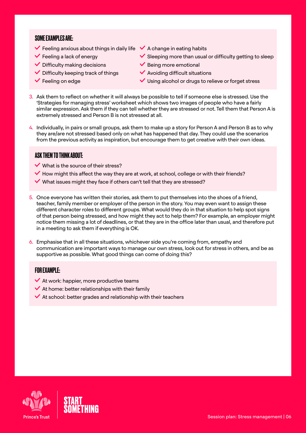#### SOME EXAMPLES ARE:

- $\checkmark$  Feeling anxious about things in daily life  $\checkmark$  A change in eating habits
- $\checkmark$  Feeling a lack of energy
- $\checkmark$  Difficulty making decisions
- $\checkmark$  Difficulty keeping track of things
- $\checkmark$  Feeling on edge
- 
- $\checkmark$  Sleeping more than usual or difficulty getting to sleep
- $\checkmark$  Being more emotional
- $\checkmark$  Avoiding difficult situations
- $\vee$  Using alcohol or drugs to relieve or forget stress
- 3. Ask them to reflect on whether it will always be possible to tell if someone else is stressed. Use the 'Strategies for managing stress' worksheet which shows two images of people who have a fairly similar expression. Ask them if they can tell whether they are stressed or not. Tell them that Person A is extremely stressed and Person B is not stressed at all.
- 4. Individually, in pairs or small groups, ask them to make up a story for Person A and Person B as to why they are/are not stressed based only on what has happened that day. They could use the scenarios from the previous activity as inspiration, but encourage them to get creative with their own ideas.

### ASK THEM TO THINK ABOUT:

- $\vee$  What is the source of their stress?
- $\blacktriangleright$  How might this affect the way they are at work, at school, college or with their friends?
- $\blacktriangledown$  What issues might they face if others can't tell that they are stressed?
- 5. Once everyone has written their stories, ask them to put themselves into the shoes of a friend, teacher, family member or employer of the person in the story. You may even want to assign these different character roles to different groups. What would they do in that situation to help spot signs of that person being stressed, and how might they act to help them? For example, an employer might notice them missing a lot of deadlines, or that they are in the office later than usual, and therefore put in a meeting to ask them if everything is OK.
- 6. Emphasise that in all these situations, whichever side you're coming from, empathy and communication are important ways to manage our own stress, look out for stress in others, and be as supportive as possible. What good things can come of doing this?

#### FOR EXAMPLE:

- $\blacktriangleright$  At work: happier, more productive teams
- $\blacktriangleright$  At home: better relationships with their family
- $\blacktriangleright$  At school: better grades and relationship with their teachers

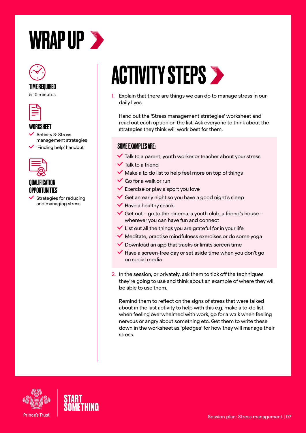<span id="page-6-0"></span>



## TIME REQUIRED

5-10 minutes



#### **WORKSHEET**

- $\checkmark$  Activity 3: Stress management strategies
- 'Finding help' handout



## *OIIAI IFICATION* **OPPORTUNITIES**

 Strategies for reducing and managing stress

## **ACTIVITY STEPS >**

1. Explain that there are things we can do to manage stress in our daily lives.

Hand out the 'Stress management strategies' worksheet and read out each option on the list. Ask everyone to think about the strategies they think will work best for them.

## SOME EXAMPLES ARE:

- $\blacktriangleright$  Talk to a parent, youth worker or teacher about your stress
- $\checkmark$  Talk to a friend
- $\vee$  Make a to do list to help feel more on top of things
- $\vee$  Go for a walk or run
- $\checkmark$  Exercise or play a sport you love
- $\checkmark$  Get an early night so you have a good night's sleep
- $\blacktriangledown$  Have a healthy snack
- $\checkmark$  Get out go to the cinema, a youth club, a friend's house wherever you can have fun and connect
- $\checkmark$  List out all the things you are grateful for in your life
- $\blacktriangledown$  Meditate, practise mindfulness exercises or do some yoga
- $\vee$  Download an app that tracks or limits screen time
- $\blacktriangledown$  Have a screen-free day or set aside time when you don't go on social media
- 2. In the session, or privately, ask them to tick off the techniques they're going to use and think about an example of where they will be able to use them.

Remind them to reflect on the signs of stress that were talked about in the last activity to help with this e.g. make a to-do list when feeling overwhelmed with work, go for a walk when feeling nervous or angry about something etc. Get them to write these down in the worksheet as 'pledges' for how they will manage their stress.